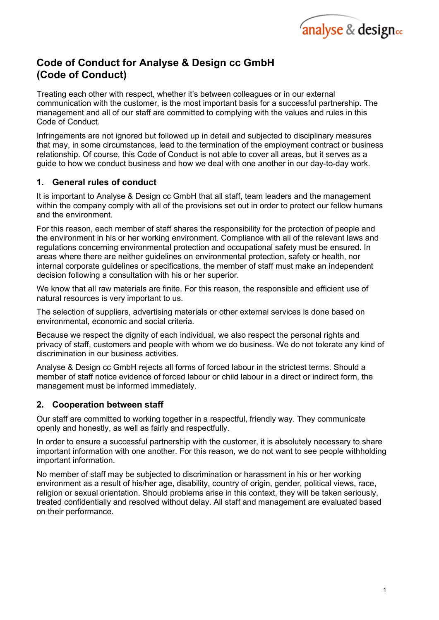

# Code of Conduct for Analyse & Design cc GmbH (Code of Conduct)

Treating each other with respect, whether it's between colleagues or in our external communication with the customer, is the most important basis for a successful partnership. The management and all of our staff are committed to complying with the values and rules in this Code of Conduct.

Infringements are not ignored but followed up in detail and subjected to disciplinary measures that may, in some circumstances, lead to the termination of the employment contract or business relationship. Of course, this Code of Conduct is not able to cover all areas, but it serves as a guide to how we conduct business and how we deal with one another in our day-to-day work.

## 1. General rules of conduct

It is important to Analyse & Design cc GmbH that all staff, team leaders and the management within the company comply with all of the provisions set out in order to protect our fellow humans and the environment.

For this reason, each member of staff shares the responsibility for the protection of people and the environment in his or her working environment. Compliance with all of the relevant laws and regulations concerning environmental protection and occupational safety must be ensured. In areas where there are neither guidelines on environmental protection, safety or health, nor internal corporate guidelines or specifications, the member of staff must make an independent decision following a consultation with his or her superior.

We know that all raw materials are finite. For this reason, the responsible and efficient use of natural resources is very important to us.

The selection of suppliers, advertising materials or other external services is done based on environmental, economic and social criteria.

Because we respect the dignity of each individual, we also respect the personal rights and privacy of staff, customers and people with whom we do business. We do not tolerate any kind of discrimination in our business activities.

Analyse & Design cc GmbH rejects all forms of forced labour in the strictest terms. Should a member of staff notice evidence of forced labour or child labour in a direct or indirect form, the management must be informed immediately.

## 2. Cooperation between staff

Our staff are committed to working together in a respectful, friendly way. They communicate openly and honestly, as well as fairly and respectfully.

In order to ensure a successful partnership with the customer, it is absolutely necessary to share important information with one another. For this reason, we do not want to see people withholding important information.

No member of staff may be subjected to discrimination or harassment in his or her working environment as a result of his/her age, disability, country of origin, gender, political views, race, religion or sexual orientation. Should problems arise in this context, they will be taken seriously, treated confidentially and resolved without delay. All staff and management are evaluated based on their performance.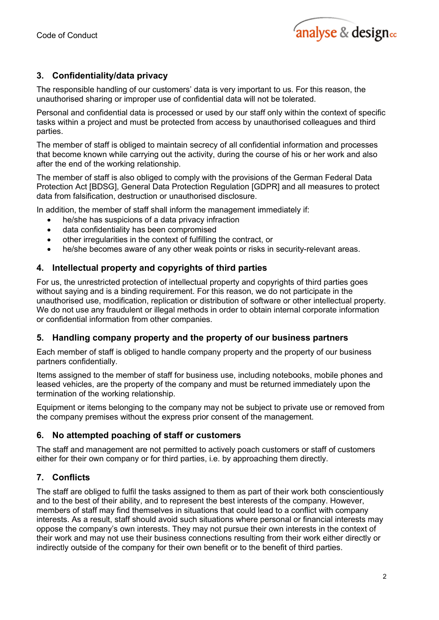

## 3. Confidentiality/data privacy

The responsible handling of our customers' data is very important to us. For this reason, the unauthorised sharing or improper use of confidential data will not be tolerated.

Personal and confidential data is processed or used by our staff only within the context of specific tasks within a project and must be protected from access by unauthorised colleagues and third parties.

The member of staff is obliged to maintain secrecy of all confidential information and processes that become known while carrying out the activity, during the course of his or her work and also after the end of the working relationship.

The member of staff is also obliged to comply with the provisions of the German Federal Data Protection Act [BDSG], General Data Protection Regulation [GDPR] and all measures to protect data from falsification, destruction or unauthorised disclosure.

In addition, the member of staff shall inform the management immediately if:

- he/she has suspicions of a data privacy infraction
- data confidentiality has been compromised
- other irregularities in the context of fulfilling the contract, or
- he/she becomes aware of any other weak points or risks in security-relevant areas.

## 4. Intellectual property and copyrights of third parties

For us, the unrestricted protection of intellectual property and copyrights of third parties goes without saying and is a binding requirement. For this reason, we do not participate in the unauthorised use, modification, replication or distribution of software or other intellectual property. We do not use any fraudulent or illegal methods in order to obtain internal corporate information or confidential information from other companies.

#### 5. Handling company property and the property of our business partners

Each member of staff is obliged to handle company property and the property of our business partners confidentially*.* 

Items assigned to the member of staff for business use, including notebooks, mobile phones and leased vehicles, are the property of the company and must be returned immediately upon the termination of the working relationship.

Equipment or items belonging to the company may not be subject to private use or removed from the company premises without the express prior consent of the management.

#### 6. No attempted poaching of staff or customers

The staff and management are not permitted to actively poach customers or staff of customers either for their own company or for third parties, i.e. by approaching them directly.

#### 7. Conflicts

The staff are obliged to fulfil the tasks assigned to them as part of their work both conscientiously and to the best of their ability, and to represent the best interests of the company. However, members of staff may find themselves in situations that could lead to a conflict with company interests. As a result, staff should avoid such situations where personal or financial interests may oppose the company's own interests. They may not pursue their own interests in the context of their work and may not use their business connections resulting from their work either directly or indirectly outside of the company for their own benefit or to the benefit of third parties.